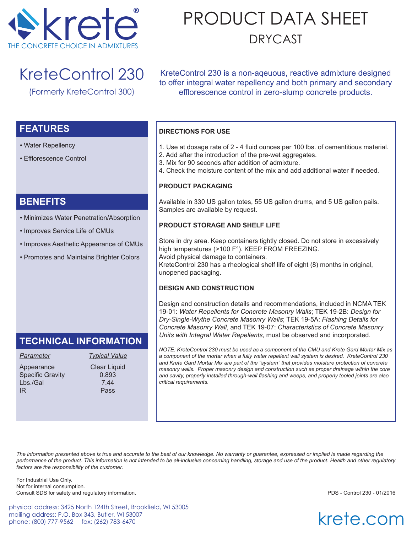

# PRODUCT DATA SHEET DRYCAST

## KreteControl 230

(Formerly KreteControl 300)

KreteControl 230 is a non-aqeuous, reactive admixture designed to offer integral water repellency and both primary and secondary efflorescence control in zero-slump concrete products.

### **FEATURES**

- Water Repellency
- Efflorescence Control

### **BENEFITS**

- Minimizes Water Penetration/Absorption
- Improves Service Life of CMUs
- Improves Aesthetic Appearance of CMUs
- Promotes and Maintains Brighter Colors

## **TECHNICAL INFORMATION**

Appearance Clear Liquid Specific Gravity 0.893 Lbs./Gal 7.44 IR Pass

*Parameter Typical Value*

#### **DIRECTIONS FOR USE**

- 1. Use at dosage rate of 2 4 fluid ounces per 100 lbs. of cementitious material.
- 2. Add after the introduction of the pre-wet aggregates.
- 3. Mix for 90 seconds after addition of admixture.
- 4. Check the moisture content of the mix and add additional water if needed.

#### **PRODUCT PACKAGING**

Available in 330 US gallon totes, 55 US gallon drums, and 5 US gallon pails. Samples are available by request.

#### **PRODUCT STORAGE AND SHELF LIFE**

Store in dry area. Keep containers tightly closed. Do not store in excessively high temperatures (>100 F°). KEEP FROM FREEZING. Avoid physical damage to containers. KreteControl 230 has a rheological shelf life of eight (8) months in original, unopened packaging.

#### **DESIGN AND CONSTRUCTION**

Design and construction details and recommendations, included in NCMA TEK 19-01: *Water Repellents for Concrete Masonry Walls*; TEK 19-2B: *Design for Dry-Single-Wythe Concrete Masonry Walls*; TEK 19-5A: *Flashing Details for Concrete Masonry Wall*, and TEK 19-07: *Characteristics of Concrete Masonry Units with Integral Water Repellents*, must be observed and incorporated.

*NOTE: KreteControl 230 must be used as a component of the CMU and Krete Gard Mortar Mix as a component of the mortar when a fully water repellent wall system is desired. KreteControl 230 and Krete Gard Mortar Mix are part of the "system" that provides moisture protection of concrete masonry walls. Proper masonry design and construction such as proper drainage within the core and cavity, properly installed through-wall flashing and weeps, and properly tooled joints are also critical requirements.* 

*The information presented above is true and accurate to the best of our knowledge. No warranty or guarantee, expressed or implied is made regarding the performance of the product. This information is not intended to be all-inclusive concerning handling, storage and use of the product. Health and other regulatory factors are the responsibility of the customer.*

For Industrial Use Only. Not for internal consumption. Consult SDS for safety and regulatory information. PDS - Control 230 - 01/2016

physical address: 3425 North 124th Street, Brookfield, WI 53005 mailing address: P.O. Box 343, Butler, WI 53007 phone: (800) 777-9562 fax: (262) 783-6470

krete.com